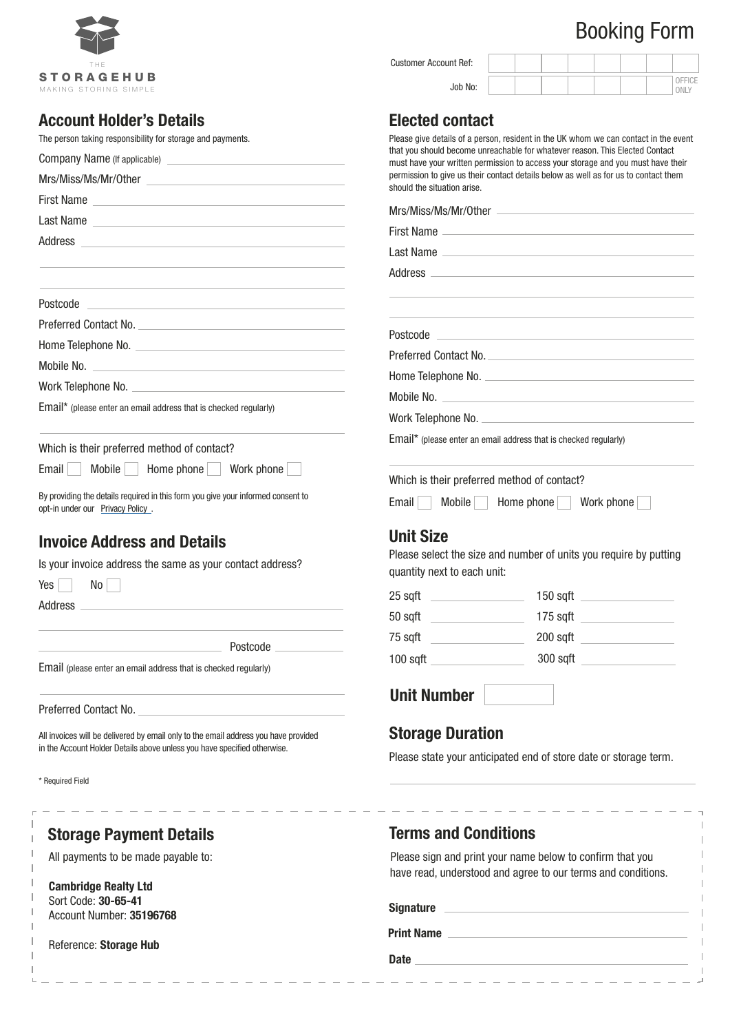# Booking Form

|                                                                                                                                                                                                                                                                | Job No:                                                                                                                                                                                                                                                                                      | ONLY |
|----------------------------------------------------------------------------------------------------------------------------------------------------------------------------------------------------------------------------------------------------------------|----------------------------------------------------------------------------------------------------------------------------------------------------------------------------------------------------------------------------------------------------------------------------------------------|------|
| <b>Account Holder's Details</b>                                                                                                                                                                                                                                | <b>Elected contact</b>                                                                                                                                                                                                                                                                       |      |
| The person taking responsibility for storage and payments.                                                                                                                                                                                                     | Please give details of a person, resident in the UK whom we can contact in the event<br>that you should become unreachable for whatever reason. This Elected Contact                                                                                                                         |      |
|                                                                                                                                                                                                                                                                | must have your written permission to access your storage and you must have their                                                                                                                                                                                                             |      |
|                                                                                                                                                                                                                                                                | permission to give us their contact details below as well as for us to contact them<br>should the situation arise.                                                                                                                                                                           |      |
| First Name <b>Example 2018</b> The Second Second Second Second Second Second Second Second Second Second Second Second Second Second Second Second Second Second Second Second Second Second Second Second Second Second Second Sec                            | Mrs/Miss/Ms/Mr/Other                                                                                                                                                                                                                                                                         |      |
| Last Name entirely and the service of the service of the service of the service of the service of the service                                                                                                                                                  | First Name                                                                                                                                                                                                                                                                                   |      |
| Address                                                                                                                                                                                                                                                        | Last Name                                                                                                                                                                                                                                                                                    |      |
|                                                                                                                                                                                                                                                                |                                                                                                                                                                                                                                                                                              |      |
|                                                                                                                                                                                                                                                                |                                                                                                                                                                                                                                                                                              |      |
| Postcode<br><u> 1989 - Johann Barn, fransk politik fotograf (d. 1989)</u>                                                                                                                                                                                      |                                                                                                                                                                                                                                                                                              |      |
|                                                                                                                                                                                                                                                                |                                                                                                                                                                                                                                                                                              |      |
|                                                                                                                                                                                                                                                                | Postcode Postcode and the contract of the contract of the contract of the contract of the contract of the contract of the contract of the contract of the contract of the contract of the contract of the contract of the cont                                                               |      |
|                                                                                                                                                                                                                                                                | Preferred Contact No.                                                                                                                                                                                                                                                                        |      |
|                                                                                                                                                                                                                                                                |                                                                                                                                                                                                                                                                                              |      |
| Email* (please enter an email address that is checked regularly)                                                                                                                                                                                               | Mobile No. 2008 Commission Commission Commission Commission Commission Commission                                                                                                                                                                                                            |      |
|                                                                                                                                                                                                                                                                |                                                                                                                                                                                                                                                                                              |      |
| Which is their preferred method of contact?                                                                                                                                                                                                                    | Email* (please enter an email address that is checked regularly)                                                                                                                                                                                                                             |      |
| Mobile   Home phone<br>Email  <br>Work phone                                                                                                                                                                                                                   | Which is their preferred method of contact?                                                                                                                                                                                                                                                  |      |
| By providing the details required in this form you give your informed consent to<br>opt-in under our Privacy Policy.                                                                                                                                           | Email<br><b>Mobile</b><br>Home phone Work phone                                                                                                                                                                                                                                              |      |
|                                                                                                                                                                                                                                                                |                                                                                                                                                                                                                                                                                              |      |
|                                                                                                                                                                                                                                                                | <b>Unit Size</b><br>Please select the size and number of units you require by putting                                                                                                                                                                                                        |      |
| No l                                                                                                                                                                                                                                                           | quantity next to each unit:                                                                                                                                                                                                                                                                  |      |
|                                                                                                                                                                                                                                                                |                                                                                                                                                                                                                                                                                              |      |
|                                                                                                                                                                                                                                                                | 175 sqft <u>same same</u><br>50 sqft ____________________                                                                                                                                                                                                                                    |      |
|                                                                                                                                                                                                                                                                | 200 sqft and the state of the state of the state of the state of the state of the state of the state of the state of the state of the state of the state of the state of the state of the state of the state of the state of t<br>75 sqft<br><u> 1999 - Johann Barnett, fransk politiker</u> |      |
| Postcode                                                                                                                                                                                                                                                       | $100$ sqft $\qquad \qquad$<br>300 sqft and the state of the state of the state of the state of the state of the state of the state of the state of the state of the state of the state of the state of the state of the state of the state of the state of t                                 |      |
| <b>Invoice Address and Details</b><br>Is your invoice address the same as your contact address?<br>Yes  <br>Address<br>Email (please enter an email address that is checked regularly)                                                                         | <b>Unit Number</b>                                                                                                                                                                                                                                                                           |      |
|                                                                                                                                                                                                                                                                |                                                                                                                                                                                                                                                                                              |      |
|                                                                                                                                                                                                                                                                | <b>Storage Duration</b>                                                                                                                                                                                                                                                                      |      |
|                                                                                                                                                                                                                                                                | Please state your anticipated end of store date or storage term.                                                                                                                                                                                                                             |      |
| <b>Required Field</b>                                                                                                                                                                                                                                          |                                                                                                                                                                                                                                                                                              |      |
| Preferred Contact No. <b>Example 2018</b><br>All invoices will be delivered by email only to the email address you have provided<br>in the Account Holder Details above unless you have specified otherwise.<br>------------<br><b>Storage Payment Details</b> | <b>Terms and Conditions</b>                                                                                                                                                                                                                                                                  |      |
| All payments to be made payable to:                                                                                                                                                                                                                            | Please sign and print your name below to confirm that you                                                                                                                                                                                                                                    |      |
|                                                                                                                                                                                                                                                                | have read, understood and agree to our terms and conditions.                                                                                                                                                                                                                                 |      |
| <b>Cambridge Realty Ltd</b>                                                                                                                                                                                                                                    |                                                                                                                                                                                                                                                                                              |      |
| Sort Code: 30-65-41<br>Account Number: 35196768                                                                                                                                                                                                                | Signature <u>Signature</u> and the state of the state of the state of the state of the state of the state of the state of the state of the state of the state of the state of the state of the state of the state of the state of t                                                          |      |
| Reference: Storage Hub                                                                                                                                                                                                                                         | <b>Print Name</b>                                                                                                                                                                                                                                                                            |      |

Customer Account Ref:



ı I I I J. J.  $\overline{1}$  $\mathbb L$